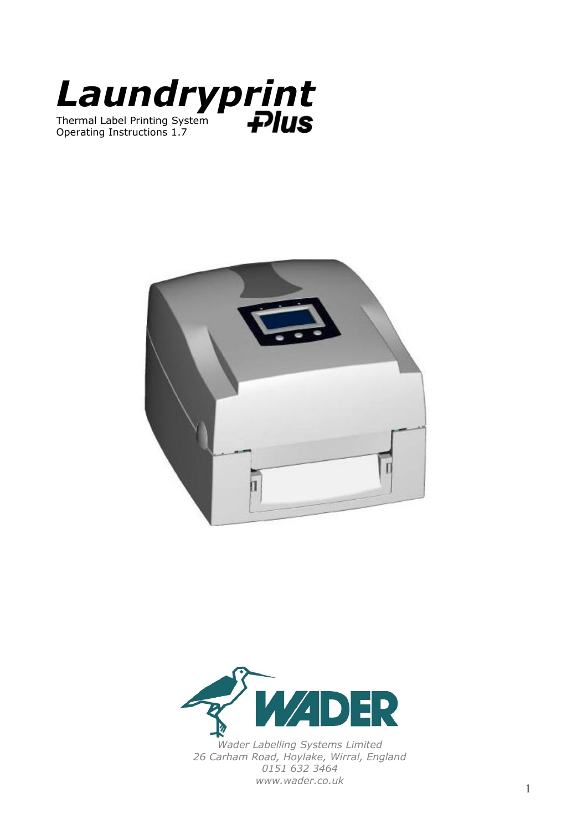





*Wader Labelling Systems Limited 26 Carham Road, Hoylake, Wirral, England 0151 632 3464 www.wader.co.uk*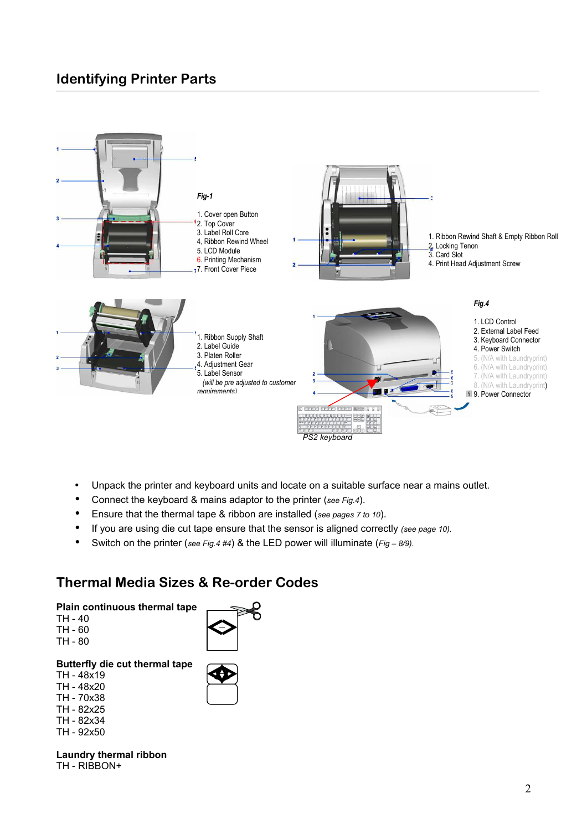# **Identifying Printer Parts**



- Unpack the printer and keyboard units and locate on a suitable surface near a mains outlet.
- Connect the keyboard & mains adaptor to the printer (*see Fig.4*).
- Ensure that the thermal tape & ribbon are installed (*see pages 7 to 10*).
- If you are using die cut tape ensure that the sensor is aligned correctly *(see page 10).*
- Switch on the printer (*see Fig.4 #4*) & the LED power will illuminate (*Fig 8/9).*

### **Thermal Media Sizes & Re-order Codes**

#### **Plain continuous thermal tape**

- TH 40 TH - 60
- TH 80

### **Butterfly die cut thermal tape**

- TH 48x19 TH - 48x20
- TH 70x38
- TH 82x25
- TH 82x34
- TH 92x50

**Laundry thermal ribbon** TH - RIBBON+

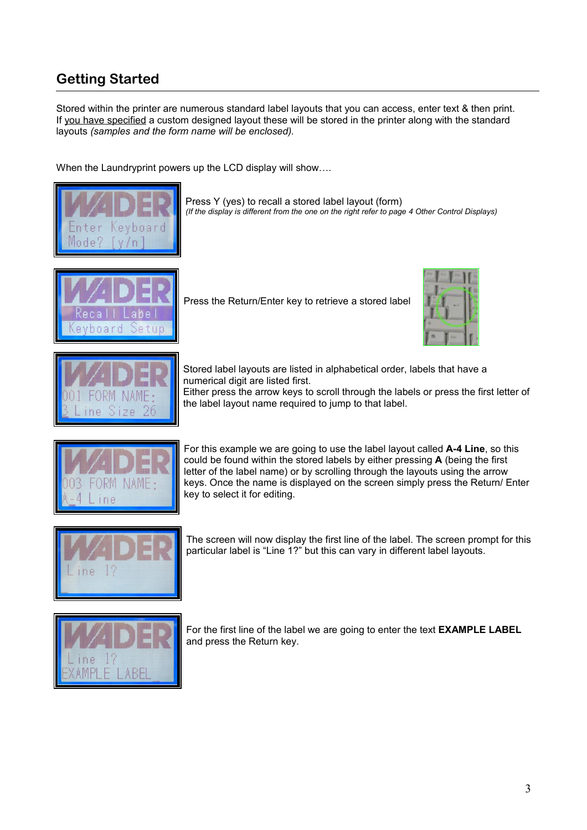# **Getting Started**

Stored within the printer are numerous standard label layouts that you can access, enter text & then print. If you have specified a custom designed layout these will be stored in the printer along with the standard layouts *(samples and the form name will be enclosed).*

When the Laundryprint powers up the LCD display will show....



Press Y (yes) to recall a stored label layout (form) *(If the display is different from the one on the right refer to page 4 Other Control Displays)*



Press the Return/Enter key to retrieve a stored label





Stored label layouts are listed in alphabetical order, labels that have a numerical digit are listed first.

Either press the arrow keys to scroll through the labels or press the first letter of the label layout name required to jump to that label.



For this example we are going to use the label layout called **A-4 Line**, so this could be found within the stored labels by either pressing **A** (being the first letter of the label name) or by scrolling through the layouts using the arrow keys. Once the name is displayed on the screen simply press the Return/ Enter key to select it for editing.



The screen will now display the first line of the label. The screen prompt for this particular label is "Line 1?" but this can vary in different label layouts.



For the first line of the label we are going to enter the text **EXAMPLE LABEL** and press the Return key.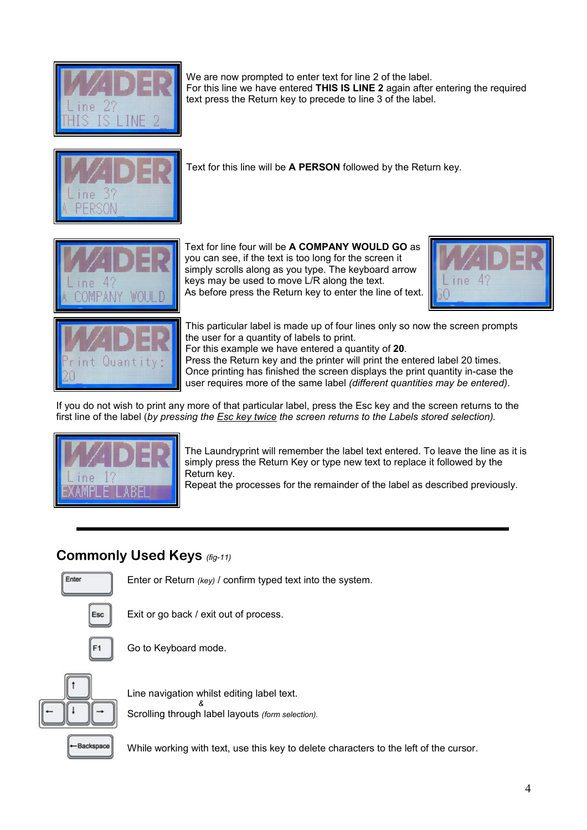We are now prompted to enter text for line 2 of the label. For this line we have entered **THIS IS LINE 2** again after entering the required text press the Return key to precede to line 3 of the label.



Text for this line will be **A PERSON** followed by the Return key.



Text for line four will be **A COMPANY WOULD GO** as you can see, if the text is too long for the screen it simply scrolls along as you type. The keyboard arrow keys may be used to move L/R along the text. As before press the Return key to enter the line of text.





This particular label is made up of four lines only so now the screen prompts the user for a quantity of labels to print. For this example we have entered a quantity of **20**. Press the Return key and the printer will print the entered label 20 times.

Once printing has finished the screen displays the print quantity in-case the user requires more of the same label *(different quantities may be entered)*.

If you do not wish to print any more of that particular label, press the Esc key and the screen returns to the first line of the label (*by pressing the Esc key twice the screen returns to the Labels stored selection).* 



The Laundryprint will remember the label text entered. To leave the line as it is simply press the Return Key or type new text to replace it followed by the Return key.

Repeat the processes for the remainder of the label as described previously.

# **Commonly Used Keys** *(fig-11)*



Enter or Return *(key)* / confirm typed text into the system.



Exit or go back / exit out of process.



Go to Keyboard mode.



Line navigation whilst editing label text. *&* Scrolling through label layouts *(form selection).*

**Backspace** 

While working with text, use this key to delete characters to the left of the cursor.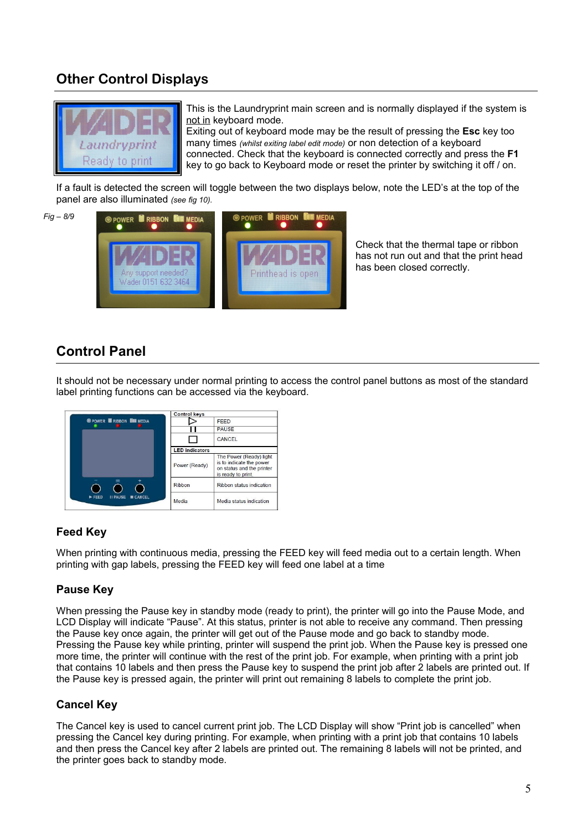# **Other Control Displays**



This is the Laundryprint main screen and is normally displayed if the system is not in keyboard mode.

Exiting out of keyboard mode may be the result of pressing the **Esc** key too many times *(whilst exiting label edit mode)* or non detection of a keyboard connected. Check that the keyboard is connected correctly and press the **F1** key to go back to Keyboard mode or reset the printer by switching it off / on.

If a fault is detected the screen will toggle between the two displays below, note the LED's at the top of the panel are also illuminated *(see fig 10).*



Check that the thermal tape or ribbon has not run out and that the print head has been closed correctly.

### **Control Panel**

It should not be necessary under normal printing to access the control panel buttons as most of the standard label printing functions can be accessed via the keyboard.



### **Feed Key**

When printing with continuous media, pressing the FEED key will feed media out to a certain length. When printing with gap labels, pressing the FEED key will feed one label at a time

### **Pause Key**

When pressing the Pause key in standby mode (ready to print), the printer will go into the Pause Mode, and LCD Display will indicate "Pause". At this status, printer is not able to receive any command. Then pressing the Pause key once again, the printer will get out of the Pause mode and go back to standby mode. Pressing the Pause key while printing, printer will suspend the print job. When the Pause key is pressed one more time, the printer will continue with the rest of the print job. For example, when printing with a print job that contains 10 labels and then press the Pause key to suspend the print job after 2 labels are printed out. If the Pause key is pressed again, the printer will print out remaining 8 labels to complete the print job.

### **Cancel Key**

The Cancel key is used to cancel current print job. The LCD Display will show "Print job is cancelled" when pressing the Cancel key during printing. For example, when printing with a print job that contains 10 labels and then press the Cancel key after 2 labels are printed out. The remaining 8 labels will not be printed, and the printer goes back to standby mode.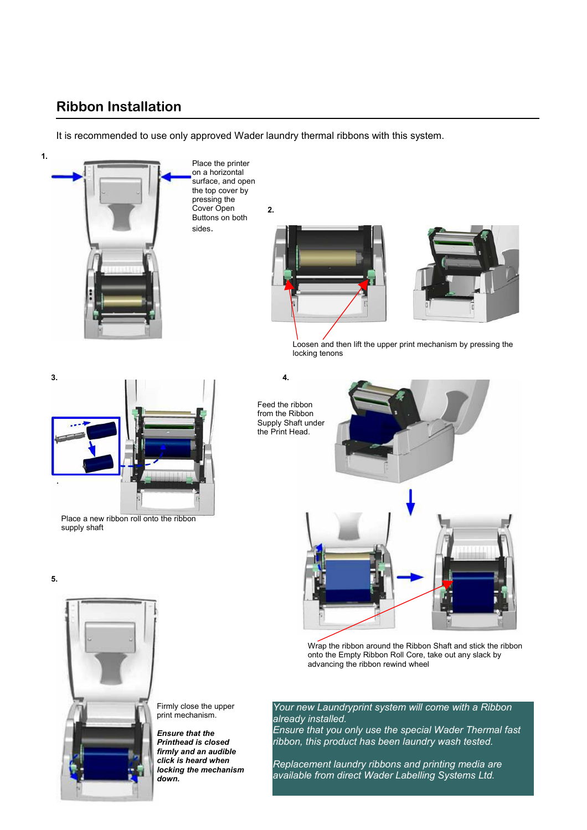### **Ribbon Installation**

It is recommended to use only approved Wader laundry thermal ribbons with this system.

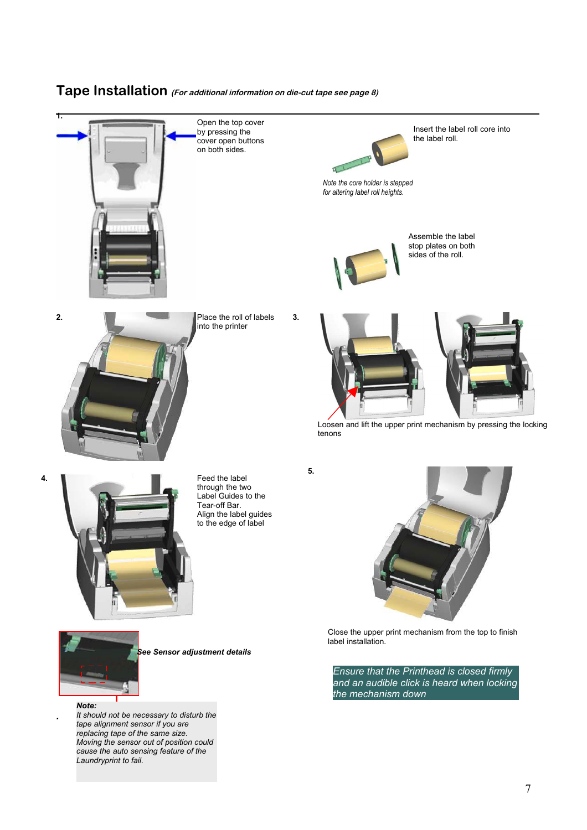### **Tape Installation (For additional information on die-cut tape see page 8)**



Open the top cover by pressing the cover open buttons on both sides.



Insert the label roll core into the label roll.

*Note the core holder is stepped for altering label roll heights.*



Assemble the label stop plates on both sides of the roll*.*



into the printer



Loosen and lift the upper print mechanism by pressing the locking tenons

**4.**



Feed the label through the two Label Guides to the Tear-off Bar. Align the label guides to the edge of label

**5.**



Close the upper print mechanism from the top to finish label installation.

*Ensure that the Printhead is closed firmly and an audible click is heard when locking the mechanism down*



*See Sensor adjustment details* 

*Note:*

*.*

*It should not be necessary to disturb the tape alignment sensor if you are replacing tape of the same size. Moving the sensor out of position could cause the auto sensing feature of the Laundryprint to fail.*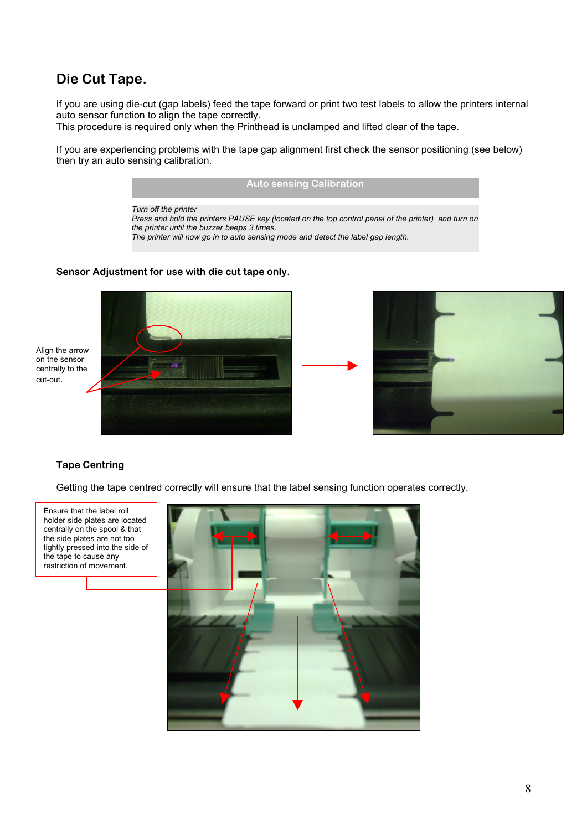## **Die Cut Tape.**

If you are using die-cut (gap labels) feed the tape forward or print two test labels to allow the printers internal auto sensor function to align the tape correctly.

This procedure is required only when the Printhead is unclamped and lifted clear of the tape.

If you are experiencing problems with the tape gap alignment first check the sensor positioning (see below) then try an auto sensing calibration.

*Turn off the printer*

*Press and hold the printers PAUSE key (located on the top control panel of the printer) and turn on the printer until the buzzer beeps 3 times.* 

**Auto sensing Calibration**

*The printer will now go in to auto sensing mode and detect the label gap length.*

#### **Sensor Adjustment for use with die cut tape only.**





### **Tape Centring**

Getting the tape centred correctly will ensure that the label sensing function operates correctly.